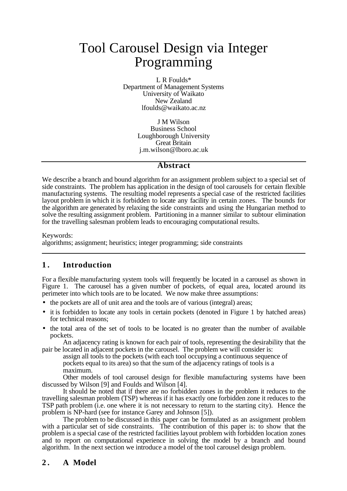# Tool Carousel Design via Integer Programming

L R Foulds\* Department of Management Systems University of Waikato New Zealand lfoulds@waikato.ac.nz

> J M Wilson Business School Loughborough University Great Britain j.m.wilson@lboro.ac.uk

### **Abstract**

We describe a branch and bound algorithm for an assignment problem subject to a special set of side constraints. The problem has application in the design of tool carousels for certain flexible manufacturing systems. The resulting model represents a special case of the restricted facilities layout problem in which it is forbidden to locate any facility in certain zones. The bounds for the algorithm are generated by relaxing the side constraints and using the Hungarian method to solve the resulting assignment problem. Partitioning in a manner similar to subtour elimination for the travelling salesman problem leads to encouraging computational results.

Keywords: algorithms; assignment; heuristics; integer programming; side constraints

# **1 . Introduction**

For a flexible manufacturing system tools will frequently be located in a carousel as shown in Figure 1. The carousel has a given number of pockets, of equal area, located around its perimeter into which tools are to be located. We now make three assumptions:

- the pockets are all of unit area and the tools are of various (integral) areas;
- it is forbidden to locate any tools in certain pockets (denoted in Figure 1 by hatched areas) for technical reasons;
- the total area of the set of tools to be located is no greater than the number of available pockets.

An adjacency rating is known for each pair of tools, representing the desirability that the pair be located in adjacent pockets in the carousel. The problem we will consider is:

assign all tools to the pockets (with each tool occupying a continuous sequence of pockets equal to its area) so that the sum of the adjacency ratings of tools is a maximum.

Other models of tool carousel design for flexible manufacturing systems have been discussed by Wilson [9] and Foulds and Wilson [4].

It should be noted that if there are no forbidden zones in the problem it reduces to the travelling salesman problem (TSP) whereas if it has exactly one forbidden zone it reduces to the TSP path problem (i.e. one where it is not necessary to return to the starting city). Hence the problem is NP-hard (see for instance Garey and Johnson [5]).

The problem to be discussed in this paper can be formulated as an assignment problem with a particular set of side constraints. The contribution of this paper is: to show that the problem is a special case of the restricted facilities layout problem with forbidden location zones and to report on computational experience in solving the model by a branch and bound algorithm. In the next section we introduce a model of the tool carousel design problem.

# **2 . A Model**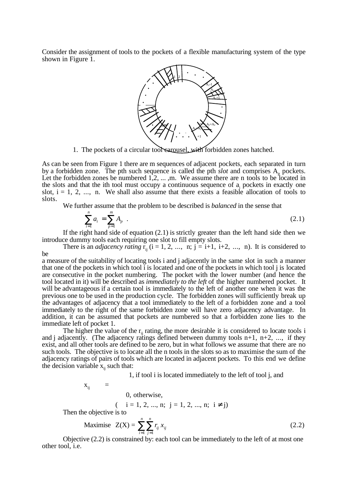Consider the assignment of tools to the pockets of a flexible manufacturing system of the type shown in Figure 1.



1. The pockets of a circular tool carousel, with forbidden zones hatched.

As can be seen from Figure 1 there are m sequences of adjacent pockets, each separated in turn by a forbidden zone. The pth such sequence is called the pth  $slot$  and comprises  $A_p$  pockets. Let the forbidden zones be numbered 1,2, ..., m. We assume there are n tools to be located in the slots and that the ith tool must occupy a continuous sequence of a pockets in exactly one slot,  $i = 1, 2, \ldots$ , n. We shall also assume that there exists a feasible allocation of tools to slots.

We further assume that the problem to be described is *balanced* in the sense that

$$
\sum_{i=1}^{n} a_i = \sum_{p=1}^{m} A_p \quad . \tag{2.1}
$$

If the right hand side of equation (2.1) is strictly greater than the left hand side then we introduce dummy tools each requiring one slot to fill empty slots.

There is an *adjacency rating*  $\overrightarrow{r}_{ij}$  (i = 1, 2, ..., n; j = i+1, i+2, ..., n). It is considered to be

a measure of the suitability of locating tools i and j adjacently in the same slot in such a manner that one of the pockets in which tool i is located and one of the pockets in which tool j is located are consecutive in the pocket numbering. The pocket with the lower number (and hence the tool located in it) will be described as *immediately to the left* of the higher numbered pocket. It will be advantageous if a certain tool is immediately to the left of another one when it was the previous one to be used in the production cycle. The forbidden zones will sufficiently break up the advantages of adjacency that a tool immediately to the left of a forbidden zone and a tool immediately to the right of the same forbidden zone will have zero adjacency advantage. In addition, it can be assumed that pockets are numbered so that a forbidden zone lies to the immediate left of pocket 1.

The higher the value of the  $r_{ii}$  rating, the more desirable it is considered to locate tools i and j adjacently. (The adjacency ratings defined between dummy tools  $n+1$ ,  $n+2$ , ..., if they exist, and all other tools are defined to be zero, but in what follows we assume that there are no such tools. The objective is to locate all the n tools in the slots so as to maximise the sum of the adjacency ratings of pairs of tools which are located in adjacent pockets. To this end we define the decision variable  $x_{ii}$  such that:

1, if tool i is located immediately to the left of tool j, and

$$
\mathbf{x}_{ij} = \{
$$

0, otherwise,

 $(i = 1, 2, ..., n; j = 1, 2, ..., n; i \neq j)$ 

Then the objective is to

Maximise 
$$
Z(X) = \sum_{i=1}^{n} \sum_{j=1}^{n} r_{ij} x_{ij}
$$
 (2.2)

Objective (2.2) is constrained by: each tool can be immediately to the left of at most one other tool, i.e.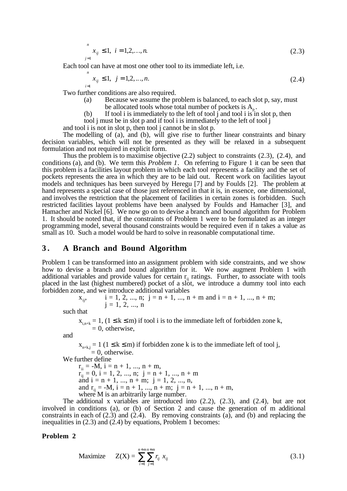$$
\sum_{j=1}^{n} x_{ij} \le 1, \quad i = 1, 2, \dots, n. \tag{2.3}
$$

Each tool can have at most one other tool to its immediate left, i.e.

$$
\sum_{i=1}^{n} x_{ij} \le 1, \quad j = 1, 2, \dots, n. \tag{2.4}
$$

Two further conditions are also required.

- (a) Because we assume the problem is balanced, to each slot p, say, must be allocated tools whose total number of pockets is  $A_n$ .
- (b) If tool i is immediately to the left of tool  $\mathbf i$  and tool i is in slot p, then
- tool j must be in slot p and if tool i is immediately to the left of tool j

and tool i is not in slot p, then tool j cannot be in slot p.

The modelling of (a), and (b), will give rise to further linear constraints and binary decision variables, which will not be presented as they will be relaxed in a subsequent formulation and not required in explicit form.

Thus the problem is to maximise objective (2.2) subject to constraints (2.3), (2.4), and conditions (a), and (b). We term this *Problem 1*. On referring to Figure 1 it can be seen that this problem is a facilities layout problem in which each tool represents a facility and the set of prockets represents the area in which they are to be laid out. Recent work on facilities layout models and techniques has been surveyed by Heregu [7] and by Foulds [2]. The problem at hand represents a special case of those just referenced in that it is, in essence, one dimensional, and involves the restriction that the placement of facilities in certain zones is forbidden. Such restricted facilities layout problems have been analysed by Foulds and Hamacher [3], and Hamacher and Nickel [6]. We now go on to devise a branch and bound algorithm for Problem 1. It should be noted that, if the constraints of Problem 1 were to be formulated as an integer programming model, several thousand constraints would be required even if n takes a value as small as 10. Such a model would be hard to solve in reasonable computational time.

### **3 . A Branch and Bound Algorithm**

Problem 1 can be transformed into an assignment problem with side constraints, and we show how to devise a branch and bound algorithm for it. We now augment Problem 1 with additional variables and provide values for certain  $r_{ij}$  ratings. Further, to associate with tools placed in the last (highest numbered) pocket of a slot, we introduce a dummy tool into each forbidden zone, and we introduce additional variables

$$
x_{ij}
$$
,   
 i = 1, 2, ..., n; j = n + 1, ..., n + m and i = n + 1, ..., n + m;  
 j = 1, 2, ..., n

such that

 $x_{i,n+k} = 1$ ,  $(1 \le k \le m)$  if tool i is to the immediate left of forbidden zone k,  $= 0$ , otherwise,

and

 $x_{n+k,j} = 1$  ( $1 \le k \le m$ ) if forbidden zone k is to the immediate left of tool j,  $= 0$ , otherwise.

We further define

 $r_{ii} = -M, i = n + 1, ..., n + m,$  $r_{ij}^{\dagger} = 0$ , i = 1, 2, ..., n; j = n + 1, ..., n + m and  $i = n + 1, ..., n + m$ ;  $j = 1, 2, ..., n$ , and  $r_{ii} = -M$ ,  $i = n + 1$ , ...,  $n + m$ ;  $j = n + 1$ , ...,  $n + m$ , where M is an arbitrarily large number.

The additional x variables are introduced into (2.2), (2.3), and (2.4), but are not involved in conditions (a), or (b) of Section 2 and cause the generation of m additional constraints in each of  $(2.3)$  and  $(2.4)$ . By removing constraints  $(a)$ , and  $(b)$  and replacing the inequalities in (2.3) and (2.4) by equations, Problem 1 becomes:

#### **Problem 2**

Maximize 
$$
Z(X) = \sum_{i=1}^{n+m} \sum_{j=1}^{n+m} r_{ij} x_{ij}
$$
 (3.1)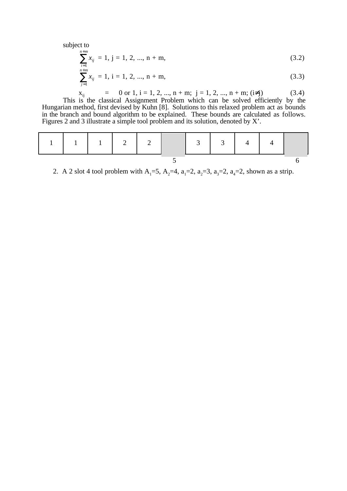subject to

$$
\sum_{i=1}^{n+m} x_{ij} = 1, j = 1, 2, ..., n + m,
$$
\n(3.2)

$$
\sum_{j=1}^{n+m} x_{ij} = 1, \, i = 1, 2, \, ..., \, n + m,
$$
\n(3.3)\n
$$
x_{ij} = 0 \text{ or } 1, \, i = 1, 2, \, ..., \, n + m; \, i = 1, 2, \, ..., \, n + m; \, (i \neq i)
$$
\n(3.4)

$$
x_{ij} = 0 \text{ or } 1, 1 = 1, 2, ..., n + m; j = 1, 2, ..., n + m; (i \neq j)
$$
(3.4)  
This is the classical Assignment Problem which can be solved efficiently by the  
Hungarian method, first devised by Kuhn [8]. Solutions to this relaxed problem act as bounds  
in the branch and bound algorithm to be explained. These bounds are calculated as follows.  
Figures 2 and 3 illustrate a simple tool problem and its solution, denoted by X'.

2. A 2 slot 4 tool problem with A<sub>1</sub>=5, A<sub>2</sub>=4, a<sub>1</sub>=2, a<sub>2</sub>=3, a<sub>3</sub>=2, a<sub>4</sub>=2, shown as a strip.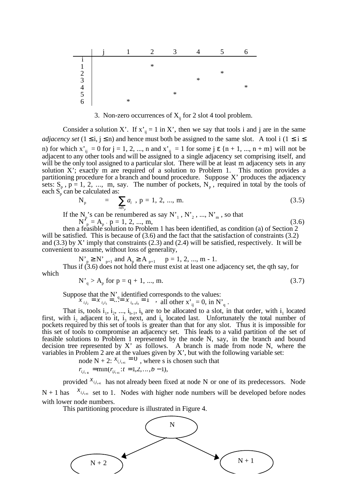

3. Non-zero occurrences of  $X_{ii}$  for 2 slot 4 tool problem.

Consider a solution X'. If  $x'_{ii} = 1$  in X', then we say that tools i and j are in the same *adjacency set*  $(1 \le i, j \le n)$  and hence must both be assigned to the same slot. A tool i  $(1 \le i \le n)$ n) for which  $x'_{ij} = 0$  for  $j = 1, 2, ..., n$  and  $x'_{ij} = 1$  for some  $j \in \{n + 1, ..., n + m\}$  will not be adjacent to any other tools and will be assigned to a single adjacency set comprising itself, and will be the only tool assigned to a particular slot. There will be at least m adjacency sets in any solution X'; exactly m are required of a solution to Problem 1. This notion provides a partitioning procedure for a branch and bound procedure. Suppose X' produces the adjacency sets:  $S_p$ ,  $p = 1, 2, ..., m$ , say. The number of pockets,  $N_p$ , required in total by the tools of each  $S_p^{\text{r}}$  can be calculated as:

$$
N_p = \sum_{i \in S_p} a_i, p = 1, 2, ..., m. \tag{3.5}
$$

If the  $N_p$ 's can be renumbered as say  $N'_1$ ,  $N'_2$ , ...,  $N'_m$ , so that

 $N_p^r = A_p$ ,  $p = 1, 2, ..., m$ , (3.6)

then a feasible solution to Problem 1 has been identified, as condition (a) of Section 2 will be satisfied. This is because of  $(3.6)$  and the fact that the satisfaction of constraints  $(3.2)$ and  $(3.3)$  by X' imply that constraints  $(2.3)$  and  $(2.4)$  will be satisfied, respectively. It will be convenient to assume, without loss of generality,

 $N'_{p} \ge N'_{p+1}$  and  $A_{p} \ge A_{p+1}$  p = 1, 2, ..., m - 1. Thus if (3.6) does not hold there must exist at least one adjacency set, the qth say, for which

 $N'_{q} > A_{p}$  for  $p = q + 1, ..., m$ . (3.7)

Suppose that the N'<sub>q</sub> identified corresponds to the values:

 $x^{i}$   $\frac{1}{i_1 i_2} = x^{i}$   $\frac{1}{i_2 i_3} = \dots = x^{i}$   $\frac{1}{i_{b-1} i_b}$  $\sum_{i_1,i_2} x_{i_2,i_3} = \dots = x_{i_{b-1}i_b} = 1$ , all other  $x_{i_{b}} = 0$ , in  $N'_{a}$ .

That is, tools  $i_1$ ,  $i_2$ , ...,  $i_{b-1}$ ,  $i_b$  are to be allocated to a slot, in that order, with  $i_1$  located first, with  $i_2$  adjacent to it,  $i_3$  next, and  $i_b$  located last. Unfortunately the total number of pockets required by this set of tools is greater than that for any slot. Thus it is impossible for this set of tools to compromise an adjacency set. This leads to a valid partition of the set of feasible solutions to Problem 1 represented by the node N, say, in the branch and bound decision tree represented by X' as follows. A branch is made from node N, where the variables in Problem 2 are at the values given by X', but with the following variable set:

node N + 2:  $x_{i_{s,i_{s+1}}} = 0$ , where s is chosen such that  $r_{i_{s}i_{s+1}} = \min(r_{i_{t}i_{t+1}}:t=1,2,...,b-1),$ 

provided  $x_{i,i_{s+1}}$  has not already been fixed at node N or one of its predecessors. Node  $N + 1$  has  $x_{i,i_{s+1}}$  set to 1. Nodes with higher node numbers will be developed before nodes with lower node numbers.

This partitioning procedure is illustrated in Figure 4.

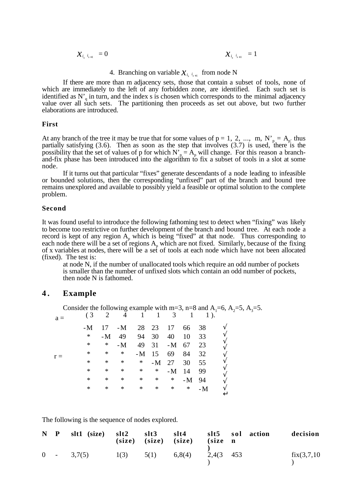$$
\mathcal{X}_{i_s \hspace{0.05cm} i_{s+1}} = 0 \hspace{2cm} \mathcal{X}_{i_s \hspace{0.05cm} i_{s+1}} = 1
$$

# 4. Branching on variable  $\mathcal{X}_{i_s}$   $_{i_{s+1}}$  from node N

If there are more than m adjacency sets, those that contain a subset of tools, none of which are immediately to the left of any forbidden zone, are identified. Each such set is identified as  $N'_{q}$  in turn, and the index s is chosen which corresponds to the minimal adjacency value over all such sets. The partitioning then proceeds as set out above, but two further elaborations are introduced.

#### **First**

At any branch of the tree it may be true that for some values of  $p = 1, 2, ..., m$ ,  $N'_{p} = A_{p'}$  thus partially satisfying  $(3.6)$ . Then as soon as the step that involves  $(3.7)$  is used, there is the possibility that the set of values of p for which  $N_p = A_p$  will change. For this reason a branchand-fix phase has been introduced into the algorithm to fix a subset of tools in a slot at some node.

If it turns out that particular "fixes" generate descendants of a node leading to infeasible or bounded solutions, then the corresponding "unfixed" part of the branch and bound tree remains unexplored and available to possibly yield a feasible or optimal solution to the complete problem.

#### **Second**

It was found useful to introduce the following fathoming test to detect when "fixing" was likely to become too restrictive on further development of the branch and bound tree. At each node a record is kept of any region  $A_p$  which is being "fixed" at that node. Thus corresponding to each node there will be a set of regions  $A<sub>p</sub>$  which are not fixed. Similarly, because of the fixing of x variables at nodes, there will be a set of tools at each node which have not been allocated (fixed). The test is:

at node N, if the number of unallocated tools which require an odd number of pockets is smaller than the number of unfixed slots which contain an odd number of pockets, then node N is fathomed.

### **4 . Example**

Consider the following example with m=3, n=8 and  $A_1$ =6,  $A_2$ =5,  $A_3$ =5.  $(3 \t2 \t4 \t1 \t1 \t3 \t1 \t1).$  $a =$ 

| u     |        |        |        |        |         |          |         |      |  |
|-------|--------|--------|--------|--------|---------|----------|---------|------|--|
|       | $-M$   | 17     | $-M$   |        |         | 28 23 17 | 66      | 38   |  |
|       | $\ast$ | $-M$   | 49     | 94     | 30      | 40       | 10      | 33   |  |
|       | ∗      | $\ast$ | $-M$   | 49     | 31      | -M 67    |         | 23   |  |
| $r =$ | *      | $\ast$ | ∗      |        | $-M$ 15 | 69       | 84      | 32   |  |
|       | *      | *      | $\ast$ | $\ast$ |         | $-M$ 27  | 30      | 55   |  |
|       | *      | $\ast$ | $\ast$ | $\ast$ | $\ast$  | $-M$     | 14      | 99   |  |
|       | *      | $\ast$ | $\ast$ | ∗      | ∗       | $\ast$   | $-M$ 94 |      |  |
|       | ∗      | $\ast$ | $\ast$ | $\ast$ | $\ast$  | $\ast$   | $\ast$  | $-M$ |  |
|       |        |        |        |        |         |          |         |      |  |

The following is the sequence of nodes explored.

|  | N P slt1 (size) slt2 slt3 slt4 slt5 sol action                |  | $(size)$ $(size)$ $(size)$ $(size)$ $(size)$ |  | decision    |
|--|---------------------------------------------------------------|--|----------------------------------------------|--|-------------|
|  | $0 \t - \t 3,7(5) \t 1(3) \t 5(1) \t 6,8(4) \t 2,4(3 \t 453)$ |  |                                              |  | fix(3,7,10) |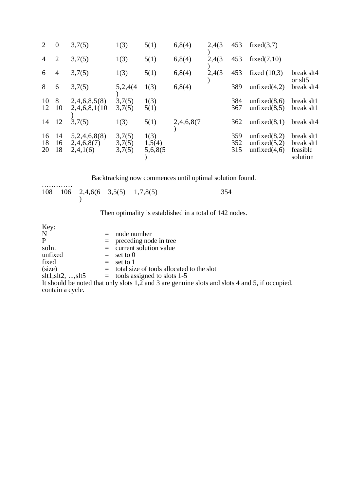| $\overline{2}$ | $\theta$           | 3,7(5)                                 | 1(3)                       | 5(1)                      | 6,8(4)     | 2,4(3) | 453               | fixed $(3,7)$                                         |                                                  |
|----------------|--------------------|----------------------------------------|----------------------------|---------------------------|------------|--------|-------------------|-------------------------------------------------------|--------------------------------------------------|
| $\overline{4}$ | $\overline{2}$     | 3,7(5)                                 | 1(3)                       | 5(1)                      | 6,8(4)     | 2,4(3) | 453               | fixed $(7,10)$                                        |                                                  |
| 6              | 4                  | 3,7(5)                                 | 1(3)                       | 5(1)                      | 6,8(4)     | 2,4(3) | 453               | fixed $(10,3)$                                        | break slt4<br>or slt5                            |
| 8              | 6                  | 3,7(5)                                 | 5,2,4(4)                   | 1(3)                      | 6,8(4)     |        | 389               | unfixed $(4,2)$                                       | break slt4                                       |
| 10<br>12       | 8<br><sup>10</sup> | 2,4,6,8,5(8)<br>2,4,6,8,1(10)          | 3,7(5)<br>3,7(5)           | 1(3)<br>5(1)              |            |        | 384<br>367        | unfixed $(8,6)$<br>unfixed $(8,5)$                    | break slt1<br>break slt1                         |
| 14             | <sup>12</sup>      | 3,7(5)                                 | 1(3)                       | 5(1)                      | 2,4,6,8(7) |        | 362               | unfixed $(8,1)$                                       | break slt4                                       |
| 16<br>18<br>20 | 14<br>16<br>18     | 5,2,4,6,8(8)<br>2,4,6,8(7)<br>2,4,1(6) | 3,7(5)<br>3,7(5)<br>3,7(5) | 1(3)<br>1,5(4)<br>5,6,8(5 |            |        | 359<br>352<br>315 | unfixed $(8,2)$<br>unfixed $(5,2)$<br>unfixed $(4,6)$ | break slt1<br>break slt1<br>feasible<br>solution |

Backtracking now commences until optimal solution found.

| . |  |                                           |  |
|---|--|-------------------------------------------|--|
|   |  | $108$ $106$ $2,4,6(6$ $3,5(5)$ $1,7,8(5)$ |  |

Then optimality is established in a total of 142 nodes.

| Key:                       |                                                                                                |
|----------------------------|------------------------------------------------------------------------------------------------|
| N                          | $=$ node number                                                                                |
| P                          | $=$ preceding node in tree                                                                     |
| soln.                      | $=$ current solution value                                                                     |
| unfixed                    | $=$ set to 0                                                                                   |
| fixed                      | $=$ set to 1                                                                                   |
| (size)                     | $=$ total size of tools allocated to the slot                                                  |
| $slt1, slt2, \ldots, slt5$ | $=$ tools assigned to slots 1-5                                                                |
|                            | It should be noted that only slots 1,2 and 3 are genuine slots and slots 4 and 5, if occupied, |
| contain a cycle.           |                                                                                                |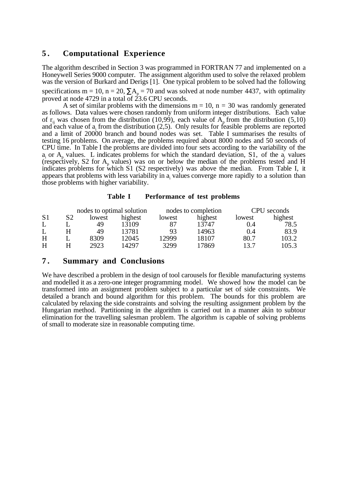# **5 . Computational Experience**

The algorithm described in Section 3 was programmed in FORTRAN 77 and implemented on a Honeywell Series 9000 computer. The assignment algorithm used to solve the relaxed problem was the version of Burkard and Derigs [1]. One typical problem to be solved had the following specifications m = 10, n = 20,  $\sum A_p = 70$  and was solved at node number 4437, with optimality proved at node 4729 in a total of  $23.6$  CPU seconds.

A set of similar problems with the dimensions  $m = 10$ ,  $n = 30$  was randomly generated as follows. Data values were chosen randomly from uniform integer distributions. Each value of  $r_{ij}$  was chosen from the distribution (10,99), each value of  $A_p$  from the distribution (5,10) and each value of  $a_i$  from the distribution (2,5). Only results for feasible problems are reported and a limit of 20000 branch and bound nodes was set. Table I summarises the results of testing 16 problems. On average, the problems required about 8000 nodes and 50 seconds of CPU time. In Table I the problems are divided into four sets according to the variability of the  $a_i$  or  $A_n$  values. L indicates problems for which the standard deviation, S1, of the  $a_i$  values (respectively, S2 for  $A_p$  values) was on or below the median of the problems tested and H indicates problems for which S1 (S2 respectively) was above the median. From Table I, it appears that problems with less variability in  $a_i$  values converge more rapidly to a solution than those problems with higher variability.

#### **Table I Performance of test problems**

|                |    |        | nodes to optimal solution |        | nodes to completion | CPU seconds |         |
|----------------|----|--------|---------------------------|--------|---------------------|-------------|---------|
| S <sub>1</sub> | S2 | lowest | highest                   | lowest | highest             | lowest      | highest |
|                |    | 49     | 13109                     | 87     | 13747               | 0.4         | 78.5    |
|                |    | 49     | 13781                     | 93     | 14963               | 0.4         | 83.9    |
| H              |    | 8309   | 12045                     | 12999  | 18107               | 80.7        | 103.2   |
| H              |    | 2923   | 14297                     | 3299   | 17869               | 13.7        | 105.3   |

## **7 . Summary and Conclusions**

We have described a problem in the design of tool carousels for flexible manufacturing systems and modelled it as a zero-one integer programming model. We showed how the model can be transformed into an assignment problem subject to a particular set of side constraints. We detailed a branch and bound algorithm for this problem. The bounds for this problem are calculated by relaxing the side constraints and solving the resulting assignment problem by the Hungarian method. Partitioning in the algorithm is carried out in a manner akin to subtour elimination for the travelling salesman problem. The algorithm is capable of solving problems of small to moderate size in reasonable computing time.